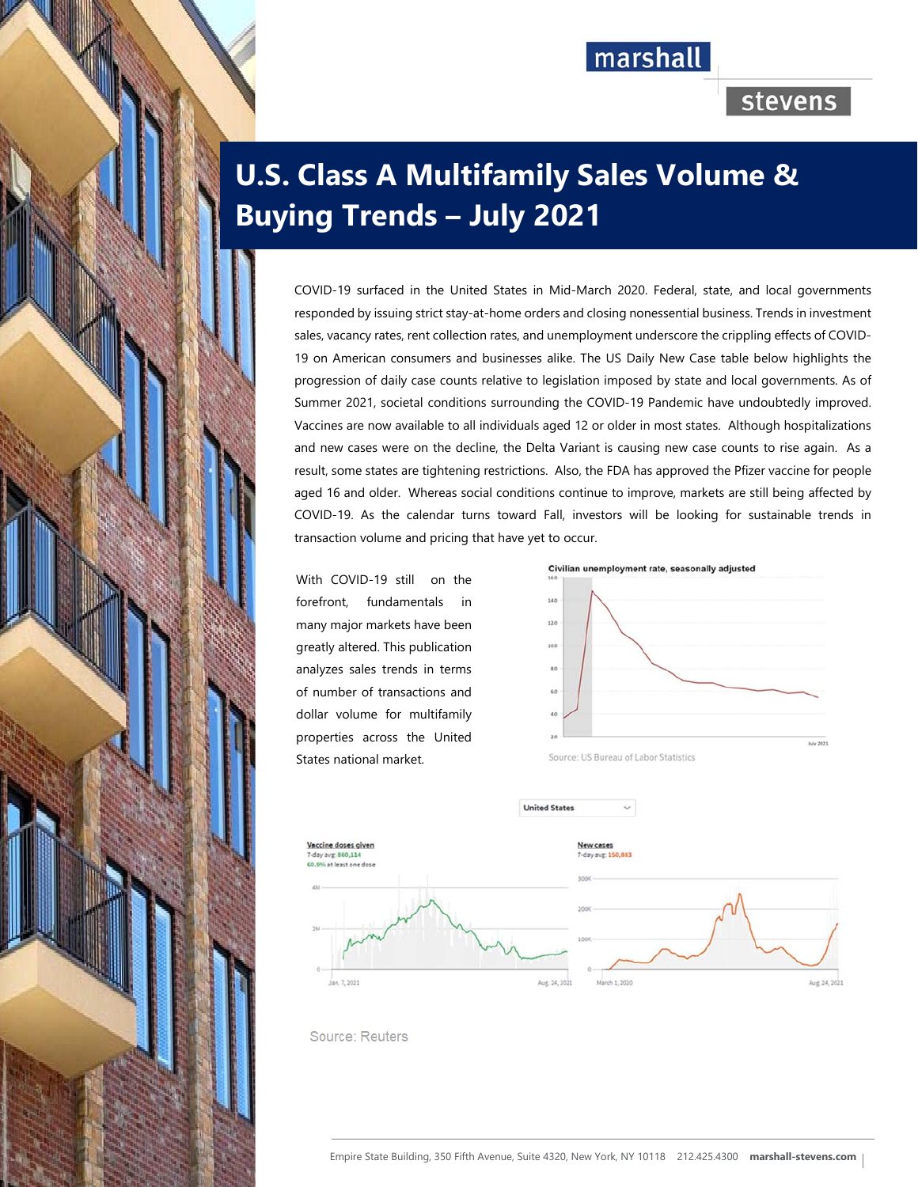# marshall

## stevens

# **U.S. Class A Multifamily Sales Volume & Buying Trends – July 2021**

COVID-19 surfaced in the United States in Mid-March 2020. Federal, state, and local governments responded by issuing strict stay-at-home orders and closing nonessential business. Trends in investment sales, vacancy rates, rent collection rates, and unemployment underscore the crippling effects of COVID-19 on American consumers and businesses alike. The US Daily New Case table below highlights the progression of daily case counts relative to legislation imposed by state and local governments. As of Summer 2021, societal conditions surrounding the COVID-19 Pandemic have undoubtedly improved. Vaccines are now available to all individuals aged 12 or older in most states. Although hospitalizations and new cases were on the decline, the Delta Variant is causing new case counts to rise again. As a result, some states are tightening restrictions. Also, the FDA has approved the Pfizer vaccine for people aged 16 and older. Whereas social conditions continue to improve, markets are still being affected by COVID-19. As the calendar turns toward Fall, investors will be looking for sustainable trends in transaction volume and pricing that have yet to occur.

With COVID-19 still on the forefront, fundamentals in many major markets have been greatly altered. This publication analyzes sales trends in terms of number of transactions and dollar volume for multifamily properties across the United States national market.

**Committee Committee Committee Committee** 



Source: US Bureau of Labor Statistics



Source: Reuters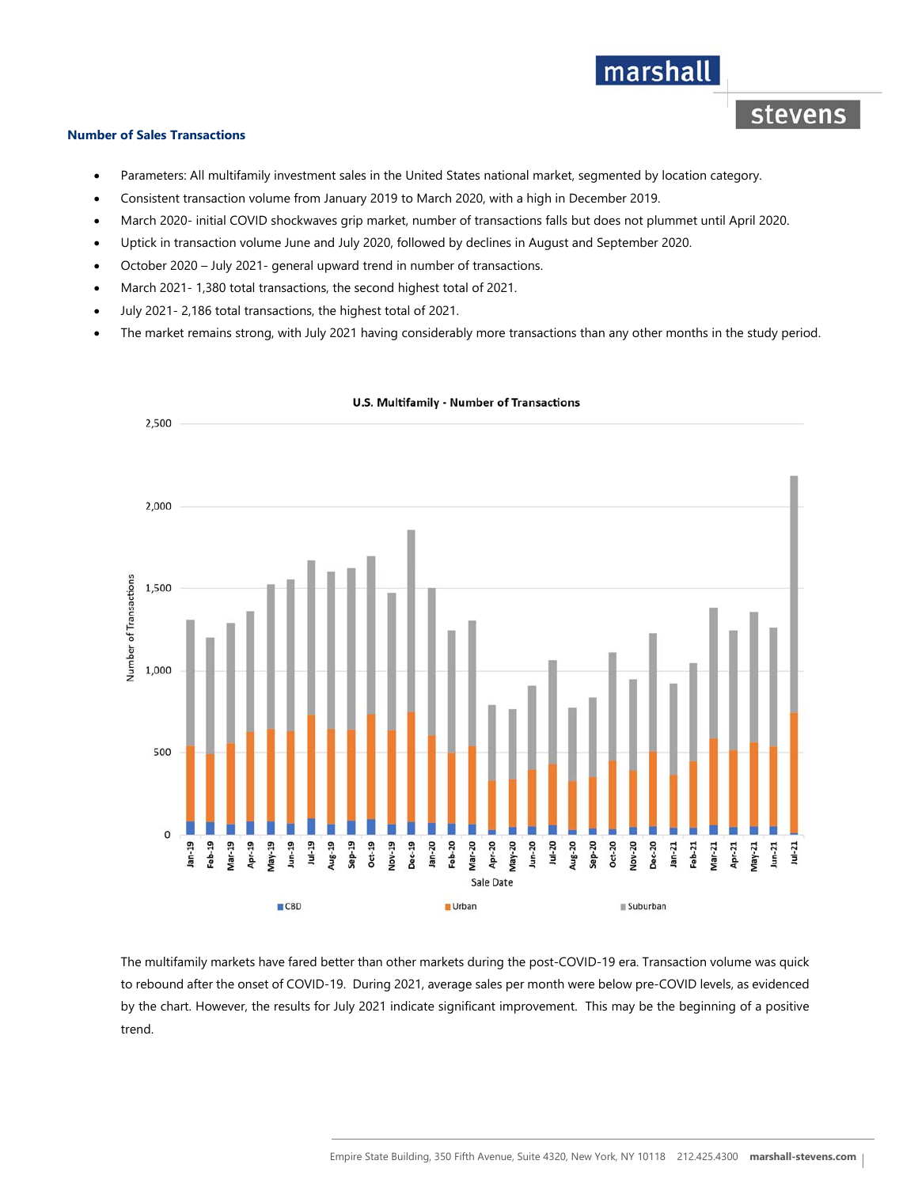### **Number of Sales Transactions**

- Parameters: All multifamily investment sales in the United States national market, segmented by location category.
- Consistent transaction volume from January 2019 to March 2020, with a high in December 2019.
- March 2020- initial COVID shockwaves grip market, number of transactions falls but does not plummet until April 2020.

marshall

stevens

- Uptick in transaction volume June and July 2020, followed by declines in August and September 2020.
- October 2020 July 2021- general upward trend in number of transactions.
- March 2021- 1,380 total transactions, the second highest total of 2021.
- July 2021- 2,186 total transactions, the highest total of 2021.
- The market remains strong, with July 2021 having considerably more transactions than any other months in the study period.



#### **U.S. Multifamily - Number of Transactions**

The multifamily markets have fared better than other markets during the post-COVID-19 era. Transaction volume was quick to rebound after the onset of COVID-19. During 2021, average sales per month were below pre-COVID levels, as evidenced by the chart. However, the results for July 2021 indicate significant improvement. This may be the beginning of a positive trend.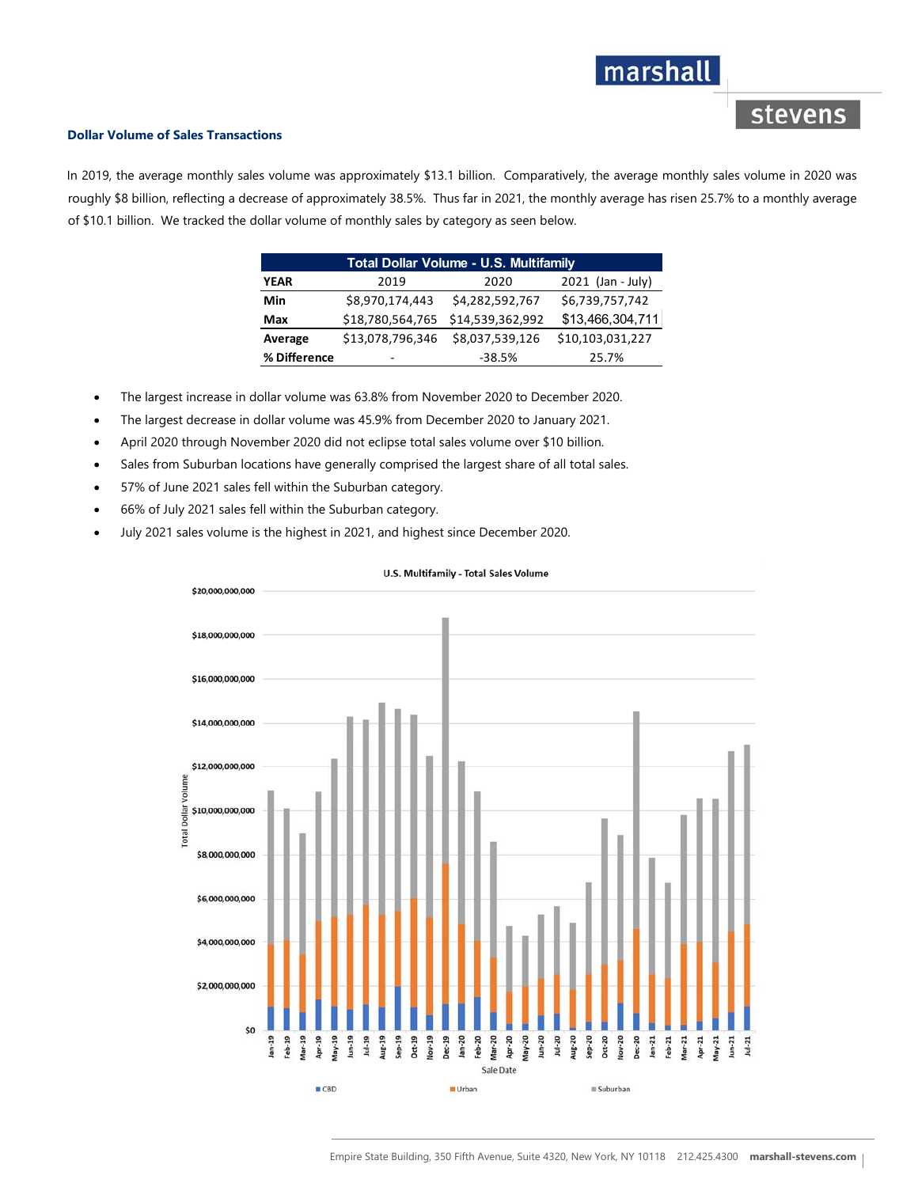# marshall

### stevens

### **Dollar Volume of Sales Transactions**

In 2019, the average monthly sales volume was approximately \$13.1 billion. Comparatively, the average monthly sales volume in 2020 was roughly \$8 billion, reflecting a decrease of approximately 38.5%. Thus far in 2021, the monthly average has risen 25.7% to a monthly average of \$10.1 billion. We tracked the dollar volume of monthly sales by category as seen below.

| <b>Total Dollar Volume - U.S. Multifamily</b> |                  |                  |                     |
|-----------------------------------------------|------------------|------------------|---------------------|
| <b>YEAR</b>                                   | 2019             | 2020             | $2021$ (Jan - July) |
| Min                                           | \$8,970,174,443  | \$4,282,592,767  | \$6,739,757,742     |
| Max                                           | \$18,780,564,765 | \$14,539,362,992 | \$13,466,304,711    |
| Average                                       | \$13,078,796,346 | \$8,037,539,126  | \$10,103,031,227    |
| % Difference                                  | -                | $-38.5%$         | 25.7%               |

- The largest increase in dollar volume was 63.8% from November 2020 to December 2020.
- The largest decrease in dollar volume was 45.9% from December 2020 to January 2021.
- April 2020 through November 2020 did not eclipse total sales volume over \$10 billion.
- Sales from Suburban locations have generally comprised the largest share of all total sales.
- 57% of June 2021 sales fell within the Suburban category.
- 66% of July 2021 sales fell within the Suburban category.
- July 2021 sales volume is the highest in 2021, and highest since December 2020.